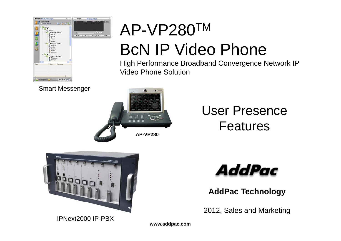

Smart Messenger

# **AP-VP280**

#### User Presence Features



IPNext2000 IP-PBX



**AddPac Technology**

2012, Sales and Marketing

**www.addpac.com**

AP-VP280TM

Video Phone Solution

BcN IP Video Phone

High Performance Broadband Convergence Network IP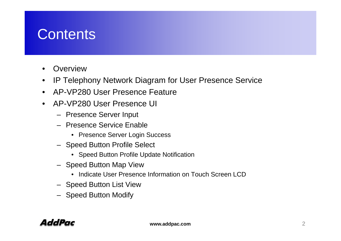#### **Contents**

- •• Overview
- $\bullet$ IP Telephony Network Diagram for User Presence Service
- AP-VP280 User Presence Feature
- AP-VP280 User Presence UI
	- Presence Server Input
	- Presence Service Enable
		- Presence Server Login Success
	- Speed Button Profile Select
		- Speed Button Profile Update Notification
	- Speed Button Map View
		- Indicate User Presence Information on Touch Screen LCD
	- Speed Button List View
	- Speed Button Modify

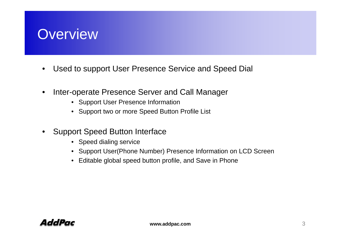#### **Overview**

- $\bullet$ Used to support User Presence Service and Speed Dial
- •Inter-operate Presence Server and Call Manager
	- Support User Presence Information
	- Support two or more Speed Button Profile List
- $\bullet$  Support Speed Button Interface
	- Speed dialing service
	- Support User(Phone Number) Presence Information on LCD Screen
	- Editable global speed button profile, and Save in Phone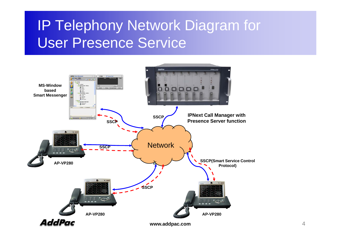#### IP Telephony Network Diagram for User Presence Service

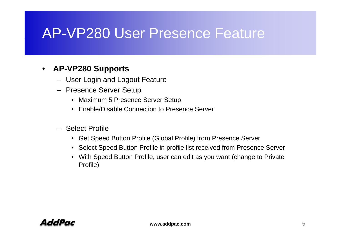#### AP-VP280 User Presence Feature

#### $\bullet$ **AP-VP280 S VP280 Supports**

- User Login and Logout Feature
- Presence Server Setup
	- Maximum 5 Presence Server Setup
	- Enable/Disable Connection to Presence Server
- Select Profile
	- Get Speed Button Profile (Global Profile) from Presence Server
	- Select Speed Button Profile in profile list received from Presence Server
	- With Speed Button Profile, user can edit as you want (change to Private Profile)

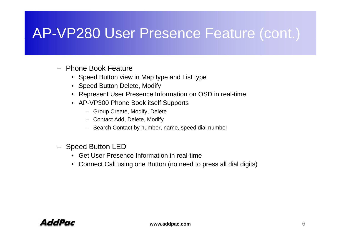#### AP-VP280 User Presence Feature (cont.)

- Phone Book Feature
	- Speed Button view in Map type and List type
	- Speed Button Delete, Modify
	- Represent User Presence Information on OSD in real-time
	- AP-VP300 Phone Book itself Supports
		- Group Create, Modify, Delete
		- $-$  Contact Add, Delete, Modify
		- Search Contact by number, name, speed dial number
- Speed Button LED
	- Get User Presence Information in real-time
	- Connect Call using one Button (no need to press all dial digits)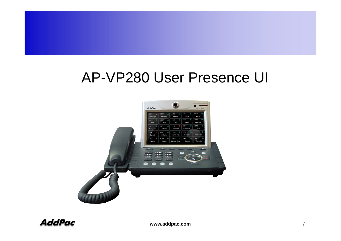#### AP-VP280 User Presence UI

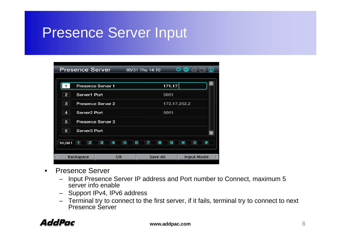#### Presence Server In put

| <b>Presence Server</b>                                                 |                          |        | 05/31 Thu 14:10     |              | ⊕      |                   | ⊈ |
|------------------------------------------------------------------------|--------------------------|--------|---------------------|--------------|--------|-------------------|---|
|                                                                        | <b>Presence Server 1</b> |        |                     | 171.17       |        |                   |   |
| $\mathbf{2}$<br>Server1 Port                                           |                          |        |                     | 5051         |        |                   |   |
| 3                                                                      | Presence Server 2        |        |                     | 172.17.252.2 |        |                   |   |
| Server <sub>2</sub> Port<br>4                                          |                          |        |                     | 5051         |        |                   |   |
| 5                                                                      | Presence Server 3        |        |                     |              |        |                   |   |
| Server <sub>3</sub> Port<br>6                                          |                          |        |                     |              |        |                   |   |
| $\overline{\mathbf{2}}$<br>NUM <sub>1</sub><br>$\overline{\mathbf{1}}$ | з<br>4                   | 5<br>6 | $\overline{7}$<br>8 | 9            | $\ast$ | $\mathbf{o}$      | # |
| <b>Backspace</b>                                                       | OK                       |        | <b>Save All</b>     |              |        | <b>Input Mode</b> |   |

- Presence Server
	- Input Presence Server IP address and Port number to Connect, maximum 5 server info enable
	- Support IPv4, IPv6 address
	- Terminal try to connect to the first server, if it fails, terminal try to connect to next Presence Server

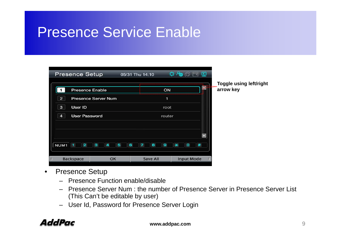#### Presence Service Enable

| <b>Presence Setup</b>                     |                            | 05/31 Thu 14:10 | $\Phi \otimes \mathbb{R}$   |                   |                                             |
|-------------------------------------------|----------------------------|-----------------|-----------------------------|-------------------|---------------------------------------------|
| <b>Presence Enable</b>                    |                            |                 | ON                          | <b>Till B</b> row | <b>Toggle using left/right</b><br>arrow key |
| $\overline{2}$                            | <b>Presence Server Num</b> |                 | 1                           |                   |                                             |
| User ID<br>3                              |                            |                 | root                        |                   |                                             |
| <b>User Password</b><br>4                 |                            |                 | router                      |                   |                                             |
|                                           |                            |                 |                             |                   |                                             |
|                                           |                            |                 |                             |                   |                                             |
| NUM <sub>1</sub><br>$\overline{2}$<br>- 1 | 3<br>5<br>4                | 6<br>8<br>7     | O<br>$\mathbf{9}$<br>$\ast$ | #                 |                                             |
| <b>Backspace</b>                          | OK                         | <b>Save All</b> | <b>Input Mode</b>           |                   |                                             |

- Presence Setu p
	- Presence Function enable/disable
	- Presence Server Num : the number of Presence Server in Presence Server List (This Can't be editable by user)
	- User Id, Password for Presence Server Login

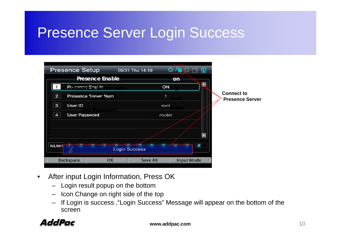#### Presence Server Lo gin Success

| <b>Presence Setup</b>     |                            | 05/31 Thu 14:10      | ⊈                 |                                             |
|---------------------------|----------------------------|----------------------|-------------------|---------------------------------------------|
|                           | <b>Presence Enable</b>     |                      | on                |                                             |
| Presence Enable           |                            | ON                   |                   |                                             |
| $\overline{2}$            | <b>Presence Server Num</b> |                      |                   | <b>Connect to</b><br><b>Presence Server</b> |
| User ID<br>3              |                            | root                 |                   |                                             |
| <b>User Password</b><br>4 |                            | router               |                   |                                             |
|                           |                            |                      |                   |                                             |
|                           |                            |                      |                   |                                             |
| <b>NUM1</b>               | $\sim$                     | <b>Login Success</b> | #                 |                                             |
| <b>Backspace</b>          | OK                         | <b>Save All</b>      | <b>Input Mode</b> |                                             |

- $\bullet$ • After input Login Information, Press OK
	- Login result popup on the bottom
	- Icon Change on right side of the top
	- If Login is success , "Login Success" Message will appear on the bottom of the screen

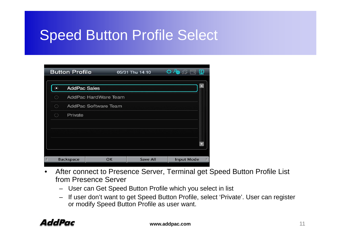#### Speed Button Profile Select

| <b>Button Profile</b> |                             |                      | 05/31 Thu 14:10 |                 |  | 0 @ C N           |  |  |
|-----------------------|-----------------------------|----------------------|-----------------|-----------------|--|-------------------|--|--|
| $\odot$               | <b>AddPac Sales</b>         |                      |                 |                 |  |                   |  |  |
| ◯                     |                             | AddPac HardWare Team |                 |                 |  |                   |  |  |
| ○                     | <b>AddPac Software Team</b> |                      |                 |                 |  |                   |  |  |
| Ω                     | Private                     |                      |                 |                 |  |                   |  |  |
|                       |                             |                      |                 |                 |  |                   |  |  |
|                       |                             |                      |                 |                 |  |                   |  |  |
|                       |                             |                      |                 |                 |  |                   |  |  |
|                       |                             |                      |                 |                 |  |                   |  |  |
|                       | <b>Backspace</b>            |                      | OK              | <b>Save All</b> |  | <b>Input Mode</b> |  |  |

- $\bullet$ After connect to Presence Server, Terminal get Speed Button Profile List from Presence Server
	- User can Get Speed Button Profile which you select in list
	- If user don't want to get Speed Button Profile, select 'Private'. User can register or modify Speed Button Profile as user want.

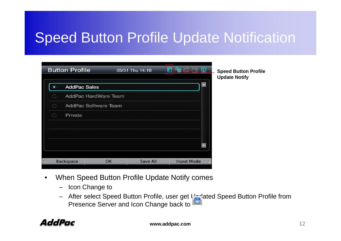#### Speed Button Profile Update Notification

|    | <b>Button Profile</b> |                      | 05/31 Thu 14:10 | <b>ALCOHOL:</b>   |    | <b>Speed Button Profile</b><br><b>Update Notify</b> |
|----|-----------------------|----------------------|-----------------|-------------------|----|-----------------------------------------------------|
| ◉  | <b>AddPac Sales</b>   |                      |                 |                   | o  |                                                     |
| 63 |                       | AddPac HardWare Team |                 |                   |    |                                                     |
| Ο  |                       | AddPac Software Team |                 |                   |    |                                                     |
| ⊖  | Private               |                      |                 |                   |    |                                                     |
|    |                       |                      |                 |                   |    |                                                     |
|    |                       |                      |                 |                   |    |                                                     |
|    |                       |                      |                 |                   | τ. |                                                     |
|    |                       |                      |                 |                   |    |                                                     |
|    | <b>Backspace</b>      | OK                   | <b>Save All</b> | <b>Input Mode</b> |    |                                                     |

- $\bullet$ • When Speed Button Profile Update Notify comes
	- Icon Change to
	- After select Speed Button Profile, user get Updated Speed Button Profile from Presence Server and Icon Change back to

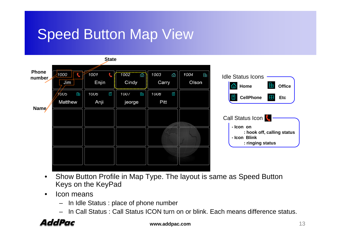#### Speed Button Map View



- $\bullet$ • Show Button Profile in Map Type. The layout is same as Speed Button Keys on the KeyPad
- • Icon means
	- In Idle Status : place of phone number
	- In Call Status : Call Status ICON turn on or blink. Each means difference status.



**www.addpac.com** 13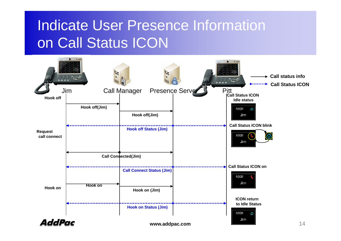### Indicate User Presence Information on Call Status ICON

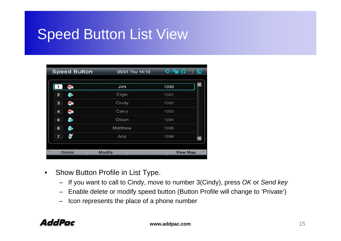#### **Speed Button List View**

| <b>Speed Button</b> | 05/31 Thu 14:10 | $\mathfrak{Q} \oplus \mathfrak{G} \square \square$ |
|---------------------|-----------------|----------------------------------------------------|
|                     | Jim             | 1000                                               |
| $\mathbf{2}$        | Enjin           | 1001                                               |
| з<br><b>CA</b>      | Cindy           | 1002                                               |
| <b>CA</b><br>4      | Carry           | 1003                                               |
| 5                   | Olson           | 1004                                               |
| 6                   | Matthew         | 1005                                               |
| $\overline{7}$      | Anji            | 1006<br>$\blacktriangledown$                       |
|                     |                 |                                                    |
| <b>Delete</b><br>F. | <b>Modify</b>   | <b>View Map</b>                                    |

- $\bullet$ Show Button Profile in List Type.
	- If you want to call to Cindy, move to number 3(Cindy), press *OK* or *Send key*
	- Enable delete or modify speed button (Button Profile will change to 'Private')
	- Icon represents the place of a phone number

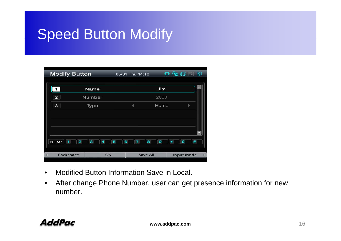#### Speed Button Modify

| <b>Modify Button</b>                                        |             | 05/31 Thu 14:10                 |      | $Q \oplus G$<br>$\boldsymbol{\mathsf{\Omega}}$ |
|-------------------------------------------------------------|-------------|---------------------------------|------|------------------------------------------------|
|                                                             | Name        |                                 | Jim  |                                                |
| 2 <sup>1</sup>                                              | Number      |                                 | 2000 |                                                |
| $\mathbf{3}$                                                | <b>Type</b> |                                 | Home | ь                                              |
|                                                             |             |                                 |      |                                                |
|                                                             |             |                                 |      |                                                |
| $\overline{\mathbf{c}}$<br>NUM <sub>1</sub><br>$\mathbf{I}$ | з<br>4<br>5 | $\bf{8}$<br>6<br>$\overline{7}$ | ø    | $\ast$<br>$\#$<br>$\mathbf{o}$                 |
| <b>Backspace</b>                                            | OK          | <b>Save All</b>                 |      | <b>Input Mode</b>                              |

- •Modified Button Information Save in Local.
- $\bullet$  After change Phone Number, user can get presence information for new number.